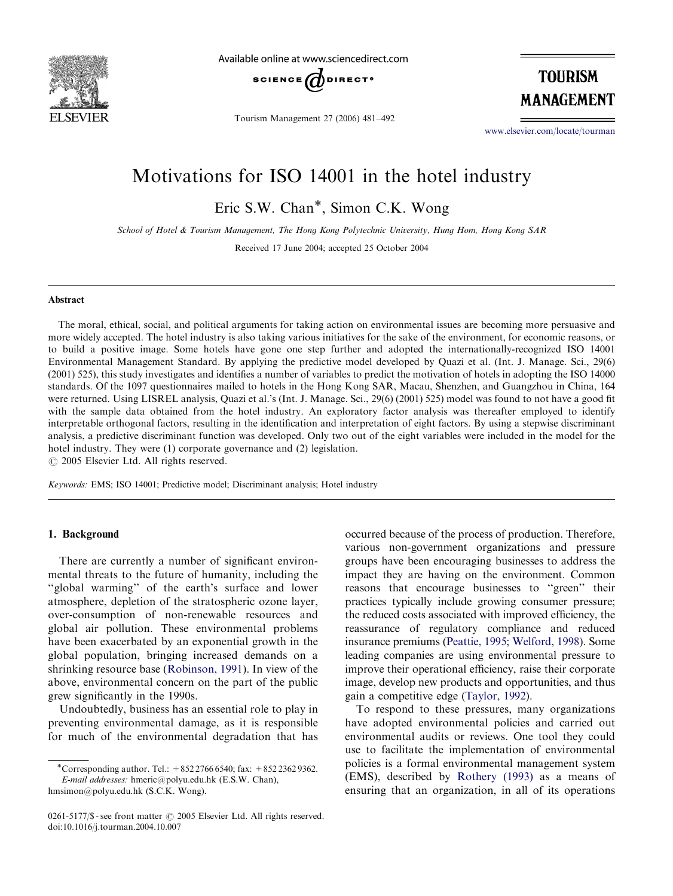

Available online at www.sciencedirect.com



Tourism Management 27 (2006) 481–492

**TOURISM** MANAGEMENT

<www.elsevier.com/locate/tourman>

## Motivations for ISO 14001 in the hotel industry

Eric S.W. Chan\*, Simon C.K. Wong

School of Hotel & Tourism Management, The Hong Kong Polytechnic University, Hung Hom, Hong Kong SAR

Received 17 June 2004; accepted 25 October 2004

#### Abstract

The moral, ethical, social, and political arguments for taking action on environmental issues are becoming more persuasive and more widely accepted. The hotel industry is also taking various initiatives for the sake of the environment, for economic reasons, or to build a positive image. Some hotels have gone one step further and adopted the internationally-recognized ISO 14001 Environmental Management Standard. By applying the predictive model developed by Quazi et al. (Int. J. Manage. Sci., 29(6) (2001) 525), this study investigates and identifies a number of variables to predict the motivation of hotels in adopting the ISO 14000 standards. Of the 1097 questionnaires mailed to hotels in the Hong Kong SAR, Macau, Shenzhen, and Guangzhou in China, 164 were returned. Using LISREL analysis, Quazi et al.'s (Int. J. Manage. Sci., 29(6) (2001) 525) model was found to not have a good fit with the sample data obtained from the hotel industry. An exploratory factor analysis was thereafter employed to identify interpretable orthogonal factors, resulting in the identification and interpretation of eight factors. By using a stepwise discriminant analysis, a predictive discriminant function was developed. Only two out of the eight variables were included in the model for the hotel industry. They were (1) corporate governance and (2) legislation.

 $C$  2005 Elsevier Ltd. All rights reserved.

Keywords: EMS; ISO 14001; Predictive model; Discriminant analysis; Hotel industry

### 1. Background

There are currently a number of significant environmental threats to the future of humanity, including the ''global warming'' of the earth's surface and lower atmosphere, depletion of the stratospheric ozone layer, over-consumption of non-renewable resources and global air pollution. These environmental problems have been exacerbated by an exponential growth in the global population, bringing increased demands on a shrinking resource base ([Robinson, 1991\)](#page--1-0). In view of the above, environmental concern on the part of the public grew significantly in the 1990s.

Undoubtedly, business has an essential role to play in preventing environmental damage, as it is responsible for much of the environmental degradation that has occurred because of the process of production. Therefore, various non-government organizations and pressure groups have been encouraging businesses to address the impact they are having on the environment. Common reasons that encourage businesses to ''green'' their practices typically include growing consumer pressure; the reduced costs associated with improved efficiency, the reassurance of regulatory compliance and reduced insurance premiums [\(Peattie, 1995](#page--1-0); [Welford, 1998\)](#page--1-0). Some leading companies are using environmental pressure to improve their operational efficiency, raise their corporate image, develop new products and opportunities, and thus gain a competitive edge ([Taylor, 1992](#page--1-0)).

To respond to these pressures, many organizations have adopted environmental policies and carried out environmental audits or reviews. One tool they could use to facilitate the implementation of environmental policies is a formal environmental management system (EMS), described by [Rothery \(1993\)](#page--1-0) as a means of ensuring that an organization, in all of its operations

<sup>\*</sup>Corresponding author. Tel.:  $+85227666540$ ; fax:  $+85223629362$ . E-mail addresses: hmeric@polyu.edu.hk (E.S.W. Chan), hmsimon@polyu.edu.hk (S.C.K. Wong).

 $0261-5177/\$ \$ - see front matter  $\odot$  2005 Elsevier Ltd. All rights reserved. doi:10.1016/j.tourman.2004.10.007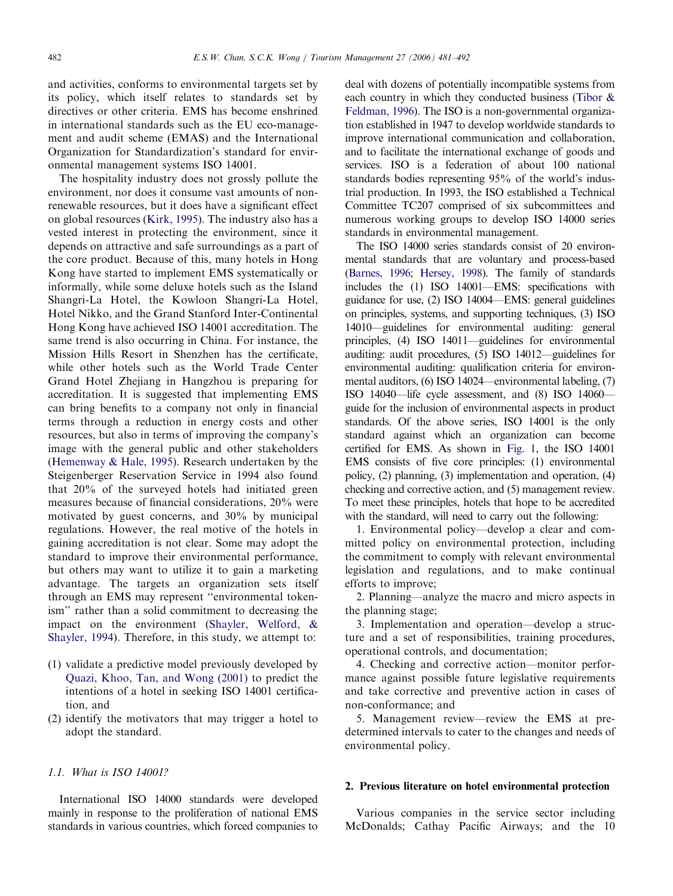and activities, conforms to environmental targets set by its policy, which itself relates to standards set by directives or other criteria. EMS has become enshrined in international standards such as the EU eco-management and audit scheme (EMAS) and the International Organization for Standardization's standard for environmental management systems ISO 14001.

The hospitality industry does not grossly pollute the environment, nor does it consume vast amounts of nonrenewable resources, but it does have a significant effect on global resources [\(Kirk, 1995](#page--1-0)). The industry also has a vested interest in protecting the environment, since it depends on attractive and safe surroundings as a part of the core product. Because of this, many hotels in Hong Kong have started to implement EMS systematically or informally, while some deluxe hotels such as the Island Shangri-La Hotel, the Kowloon Shangri-La Hotel, Hotel Nikko, and the Grand Stanford Inter-Continental Hong Kong have achieved ISO 14001 accreditation. The same trend is also occurring in China. For instance, the Mission Hills Resort in Shenzhen has the certificate, while other hotels such as the World Trade Center Grand Hotel Zhejiang in Hangzhou is preparing for accreditation. It is suggested that implementing EMS can bring benefits to a company not only in financial terms through a reduction in energy costs and other resources, but also in terms of improving the company's image with the general public and other stakeholders ([Hemenway & Hale, 1995\)](#page--1-0). Research undertaken by the Steigenberger Reservation Service in 1994 also found that 20% of the surveyed hotels had initiated green measures because of financial considerations, 20% were motivated by guest concerns, and 30% by municipal regulations. However, the real motive of the hotels in gaining accreditation is not clear. Some may adopt the standard to improve their environmental performance, but others may want to utilize it to gain a marketing advantage. The targets an organization sets itself through an EMS may represent ''environmental tokenism'' rather than a solid commitment to decreasing the impact on the environment [\(Shayler, Welford, &](#page--1-0) [Shayler, 1994](#page--1-0)). Therefore, in this study, we attempt to:

- (1) validate a predictive model previously developed by [Quazi, Khoo, Tan, and Wong \(2001\)](#page--1-0) to predict the intentions of a hotel in seeking ISO 14001 certification, and
- (2) identify the motivators that may trigger a hotel to adopt the standard.

#### 1.1. What is ISO 14001?

International ISO 14000 standards were developed mainly in response to the proliferation of national EMS standards in various countries, which forced companies to deal with dozens of potentially incompatible systems from each country in which they conducted business [\(Tibor &](#page--1-0) [Feldman, 1996](#page--1-0)). The ISO is a non-governmental organization established in 1947 to develop worldwide standards to improve international communication and collaboration, and to facilitate the international exchange of goods and services. ISO is a federation of about 100 national standards bodies representing 95% of the world's industrial production. In 1993, the ISO established a Technical Committee TC207 comprised of six subcommittees and numerous working groups to develop ISO 14000 series standards in environmental management.

The ISO 14000 series standards consist of 20 environmental standards that are voluntary and process-based ([Barnes, 1996](#page--1-0); [Hersey, 1998\)](#page--1-0). The family of standards includes the (1) ISO 14001—EMS: specifications with guidance for use, (2) ISO 14004—EMS: general guidelines on principles, systems, and supporting techniques, (3) ISO 14010—guidelines for environmental auditing: general principles, (4) ISO 14011—guidelines for environmental auditing: audit procedures, (5) ISO 14012—guidelines for environmental auditing: qualification criteria for environmental auditors, (6) ISO 14024—environmental labeling, (7) ISO 14040—life cycle assessment, and (8) ISO 14060 guide for the inclusion of environmental aspects in product standards. Of the above series, ISO 14001 is the only standard against which an organization can become certified for EMS. As shown in [Fig. 1](#page--1-0), the ISO 14001 EMS consists of five core principles: (1) environmental policy, (2) planning, (3) implementation and operation, (4) checking and corrective action, and (5) management review. To meet these principles, hotels that hope to be accredited with the standard, will need to carry out the following:

1. Environmental policy—develop a clear and committed policy on environmental protection, including the commitment to comply with relevant environmental legislation and regulations, and to make continual efforts to improve;

2. Planning—analyze the macro and micro aspects in the planning stage;

3. Implementation and operation—develop a structure and a set of responsibilities, training procedures, operational controls, and documentation;

4. Checking and corrective action—monitor performance against possible future legislative requirements and take corrective and preventive action in cases of non-conformance; and

5. Management review—review the EMS at predetermined intervals to cater to the changes and needs of environmental policy.

#### 2. Previous literature on hotel environmental protection

Various companies in the service sector including McDonalds; Cathay Pacific Airways; and the 10